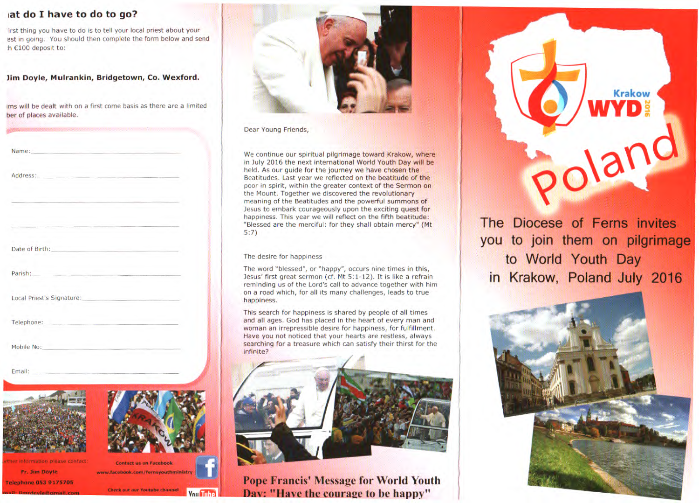# **at do I have to do to go?**

lirst thing you have to do is to tell your local priest about your est in going. You should then complete the form below and send h €100 deposit to:

**Jim Doyle, Mulrankin, Bridgetown, Co. Wexford.** 

ims will be dealt with on a first come basis as there are a limited ber of places available.

| Name: Name: Name: Name: Name: Name: Name: Name: Name: Name: Name: Name: Name: Name: Name: Name: Name: Name: Name: Name: Name: Name: Name: Name: Name: Name: Name: Name: Name: Name: Name: Name: Name: Name: Name: Name: Name:        |                                                                                                                                                                                                                                |  |
|--------------------------------------------------------------------------------------------------------------------------------------------------------------------------------------------------------------------------------------|--------------------------------------------------------------------------------------------------------------------------------------------------------------------------------------------------------------------------------|--|
| Address: Address:                                                                                                                                                                                                                    |                                                                                                                                                                                                                                |  |
|                                                                                                                                                                                                                                      |                                                                                                                                                                                                                                |  |
|                                                                                                                                                                                                                                      | the control of the control of the control of the control of the control of                                                                                                                                                     |  |
| Date of Birth: <b>Campbell</b> Date of Birth:                                                                                                                                                                                        |                                                                                                                                                                                                                                |  |
|                                                                                                                                                                                                                                      | Parish: Parish: Parish: Parish: Parish: Parish: Parish: Parish: Parish: Parish: Parish: Parish: Parish: Parish: Parish: Parish: Parish: Parish: Parish: Parish: Parish: Parish: Parish: Parish: Parish: Parish: Parish: Parish |  |
| Local Priest's Signature: New York School School School School School School School School School School School School School School School School School School School School School School School School School School Schoo       |                                                                                                                                                                                                                                |  |
| Telephone: <b>Contract Contract Contract Contract Contract Contract Contract Contract Contract Contract Contract Contract Contract Contract Contract Contract Contract Contract Contract Contract Contract Contract Contract Con</b> |                                                                                                                                                                                                                                |  |
| Mobile No: North American State Communication                                                                                                                                                                                        | the company of the company of the company of the company of the company of the company of                                                                                                                                      |  |
| Email: Contract Contract Contract Contract Contract Contract Contract Contract Contract Contract Contract Contract Contract Contract Contract Contract Contract Contract Contract Contract Contract Contract Contract Contract       |                                                                                                                                                                                                                                |  |
|                                                                                                                                                                                                                                      |                                                                                                                                                                                                                                |  |
|                                                                                                                                                                                                                                      |                                                                                                                                                                                                                                |  |
|                                                                                                                                                                                                                                      |                                                                                                                                                                                                                                |  |
| wrther information please contact:                                                                                                                                                                                                   | <b>Contact us on Facebook</b>                                                                                                                                                                                                  |  |
| Fr. Jim Doyle                                                                                                                                                                                                                        | www.facebook.com/fernsyouthministry                                                                                                                                                                                            |  |
| <b>Telephone 053 9175705</b>                                                                                                                                                                                                         |                                                                                                                                                                                                                                |  |

Check out our Youtube channel

Vou Tuhe

iimirrioule@cimail.com



Dear Young Friends,

We continue our spiritual pilgrimage toward Krakow, where in July 2016 the next international World Youth Day will be held. As our guide for the journey we have chosen the Beatitudes. Last year we reflected on the beatitude of the poor in spirit, within the greater context of the Sermon on the Mount. Together we discovered the revolutionary meaning of the Beatitudes and the powerful summons of Jesus to embark courageously upon the exciting quest for happiness. This year we will reflect on the fifth beatitude: "Blessed are the merciful: for they shall obtain mercy" (Mt 5:7)

#### The desire for happiness

The word "blessed", or "happy", occurs nine times in this, Jesus' first great sermon (cf. Mt 5:1-12). It is like a refrain reminding us of the Lord's call to advance together with him on a road which, for all its many challenges, leads to true happiness.

This search for happiness is shared by people of all times and all ages. God has placed in the heart of every man and woman an irrepressible desire for happiness, for fulfillment. Have you not noticed that your hearts are restless, always searching for a treasure which can satisfy their thirst for the infinite?



**Pope Francis' Message for World Youth Day: "Have the courage to be happy"** 



The Diocese of Ferns invites you to join them on pilgrimage to World Youth Day in Krakow, Poland July 2016